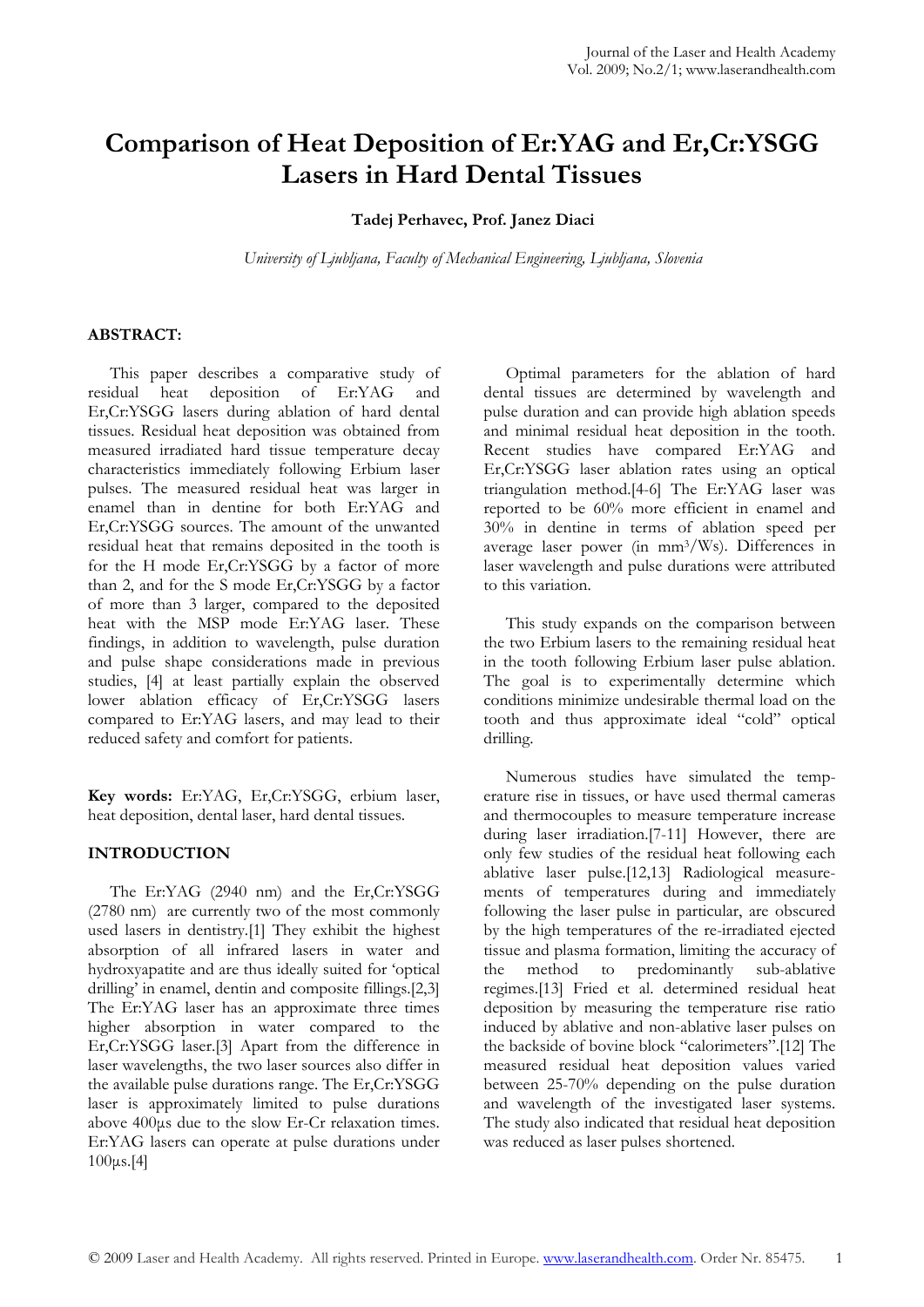# **Comparison of Heat Deposition of Er:YAG and Er,Cr:YSGG Lasers in Hard Dental Tissues**

**Tadej Perhavec, Prof. Janez Diaci**

*University of Ljubljana, Faculty of Mechanical Engineering, Ljubljana, Slovenia* 

# **ABSTRACT:**

This paper describes a comparative study of residual heat deposition of Er:YAG and Er,Cr:YSGG lasers during ablation of hard dental tissues. Residual heat deposition was obtained from measured irradiated hard tissue temperature decay characteristics immediately following Erbium laser pulses. The measured residual heat was larger in enamel than in dentine for both Er:YAG and Er,Cr:YSGG sources. The amount of the unwanted residual heat that remains deposited in the tooth is for the H mode Er,Cr:YSGG by a factor of more than 2, and for the S mode Er,Cr:YSGG by a factor of more than 3 larger, compared to the deposited heat with the MSP mode Er:YAG laser. These findings, in addition to wavelength, pulse duration and pulse shape considerations made in previous studies, [4] at least partially explain the observed lower ablation efficacy of Er,Cr:YSGG lasers compared to Er:YAG lasers, and may lead to their reduced safety and comfort for patients.

**Key words:** Er:YAG, Er,Cr:YSGG, erbium laser, heat deposition, dental laser, hard dental tissues.

# **INTRODUCTION**

The Er:YAG (2940 nm) and the Er,Cr:YSGG (2780 nm) are currently two of the most commonly used lasers in dentistry.[1] They exhibit the highest absorption of all infrared lasers in water and hydroxyapatite and are thus ideally suited for 'optical drilling' in enamel, dentin and composite fillings.[2,3] The Er:YAG laser has an approximate three times higher absorption in water compared to the Er,Cr:YSGG laser.[3] Apart from the difference in laser wavelengths, the two laser sources also differ in the available pulse durations range. The Er,Cr:YSGG laser is approximately limited to pulse durations above 400μs due to the slow Er-Cr relaxation times. Er:YAG lasers can operate at pulse durations under 100μs.[4]

Optimal parameters for the ablation of hard dental tissues are determined by wavelength and pulse duration and can provide high ablation speeds and minimal residual heat deposition in the tooth. Recent studies have compared Er:YAG and Er,Cr:YSGG laser ablation rates using an optical triangulation method.[4-6] The Er:YAG laser was reported to be 60% more efficient in enamel and 30% in dentine in terms of ablation speed per average laser power (in mm3/Ws). Differences in laser wavelength and pulse durations were attributed to this variation.

This study expands on the comparison between the two Erbium lasers to the remaining residual heat in the tooth following Erbium laser pulse ablation. The goal is to experimentally determine which conditions minimize undesirable thermal load on the tooth and thus approximate ideal "cold" optical drilling.

Numerous studies have simulated the temperature rise in tissues, or have used thermal cameras and thermocouples to measure temperature increase during laser irradiation.[7-11] However, there are only few studies of the residual heat following each ablative laser pulse.[12,13] Radiological measurements of temperatures during and immediately following the laser pulse in particular, are obscured by the high temperatures of the re-irradiated ejected tissue and plasma formation, limiting the accuracy of the method to predominantly sub-ablative regimes.[13] Fried et al. determined residual heat deposition by measuring the temperature rise ratio induced by ablative and non-ablative laser pulses on the backside of bovine block "calorimeters".[12] The measured residual heat deposition values varied between 25-70% depending on the pulse duration and wavelength of the investigated laser systems. The study also indicated that residual heat deposition was reduced as laser pulses shortened.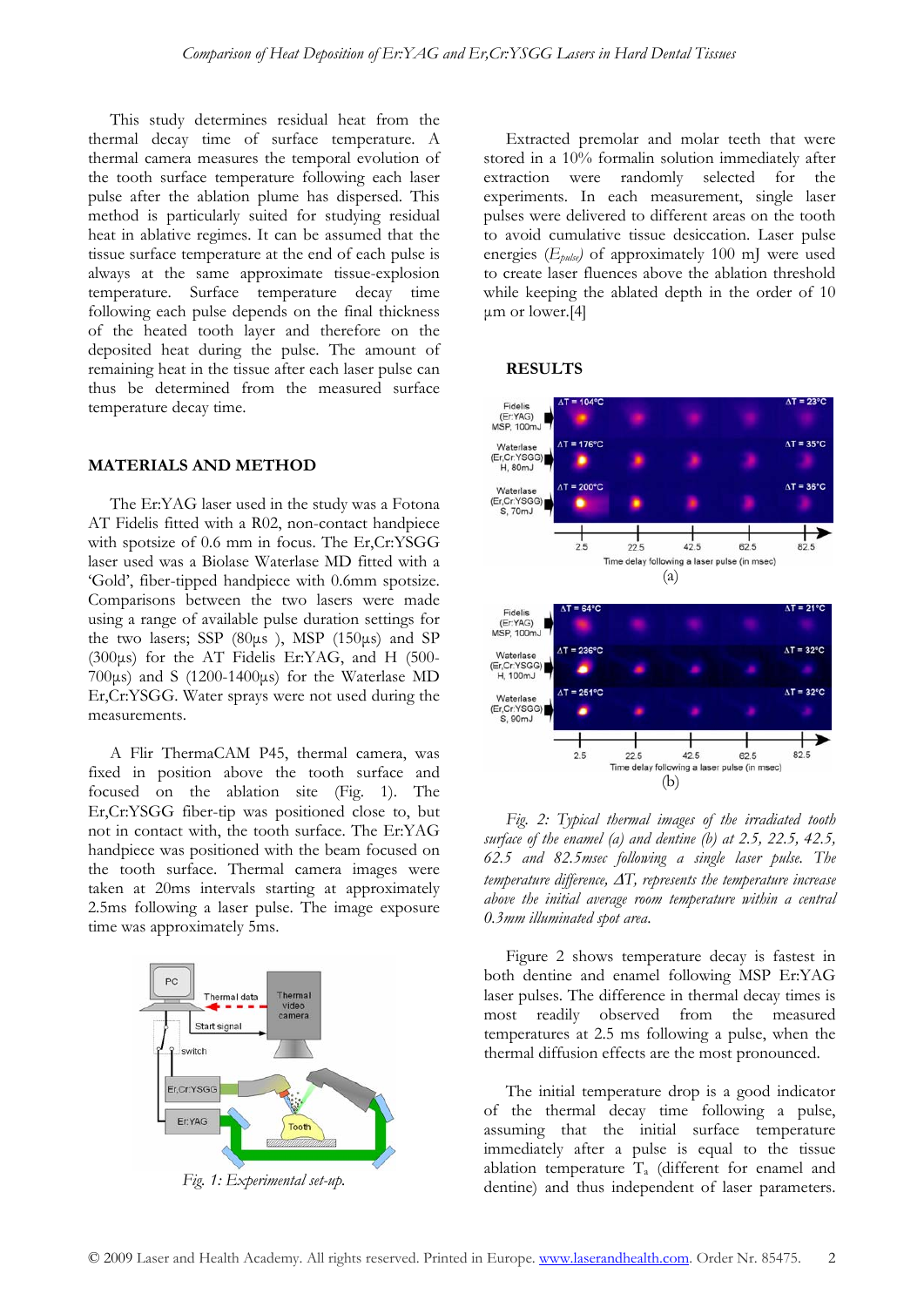This study determines residual heat from the thermal decay time of surface temperature. A thermal camera measures the temporal evolution of the tooth surface temperature following each laser pulse after the ablation plume has dispersed. This method is particularly suited for studying residual heat in ablative regimes. It can be assumed that the tissue surface temperature at the end of each pulse is always at the same approximate tissue-explosion temperature. Surface temperature decay time following each pulse depends on the final thickness of the heated tooth layer and therefore on the deposited heat during the pulse. The amount of remaining heat in the tissue after each laser pulse can thus be determined from the measured surface temperature decay time.

## **MATERIALS AND METHOD**

The Er:YAG laser used in the study was a Fotona AT Fidelis fitted with a R02, non-contact handpiece with spotsize of 0.6 mm in focus. The Er,Cr:YSGG laser used was a Biolase Waterlase MD fitted with a 'Gold', fiber-tipped handpiece with 0.6mm spotsize. Comparisons between the two lasers were made using a range of available pulse duration settings for the two lasers; SSP  $(80\mu s)$ , MSP  $(150\mu s)$  and SP (300μs) for the AT Fidelis Er:YAG, and H (500- 700μs) and S (1200-1400μs) for the Waterlase MD Er,Cr:YSGG. Water sprays were not used during the measurements.

A Flir ThermaCAM P45, thermal camera, was fixed in position above the tooth surface and focused on the ablation site (Fig. 1). The Er,Cr:YSGG fiber-tip was positioned close to, but not in contact with, the tooth surface. The Er:YAG handpiece was positioned with the beam focused on the tooth surface. Thermal camera images were taken at 20ms intervals starting at approximately 2.5ms following a laser pulse. The image exposure time was approximately 5ms.



*Fig. 1: Experimental set-up.* 

Extracted premolar and molar teeth that were stored in a 10% formalin solution immediately after extraction were randomly selected for the experiments. In each measurement, single laser pulses were delivered to different areas on the tooth to avoid cumulative tissue desiccation. Laser pulse energies (*Epulse)* of approximately 100 mJ were used to create laser fluences above the ablation threshold while keeping the ablated depth in the order of 10 μm or lower.[4]

#### **RESULTS**



*Fig. 2: Typical thermal images of the irradiated tooth surface of the enamel (a) and dentine (b) at 2.5, 22.5, 42.5, 62.5 and 82.5msec following a single laser pulse. The temperature difference,* Δ*T, represents the temperature increase above the initial average room temperature within a central 0.3mm illuminated spot area*.

Figure 2 shows temperature decay is fastest in both dentine and enamel following MSP Er:YAG laser pulses. The difference in thermal decay times is most readily observed from the measured temperatures at 2.5 ms following a pulse, when the thermal diffusion effects are the most pronounced.

The initial temperature drop is a good indicator of the thermal decay time following a pulse, assuming that the initial surface temperature immediately after a pulse is equal to the tissue ablation temperature Ta (different for enamel and dentine) and thus independent of laser parameters.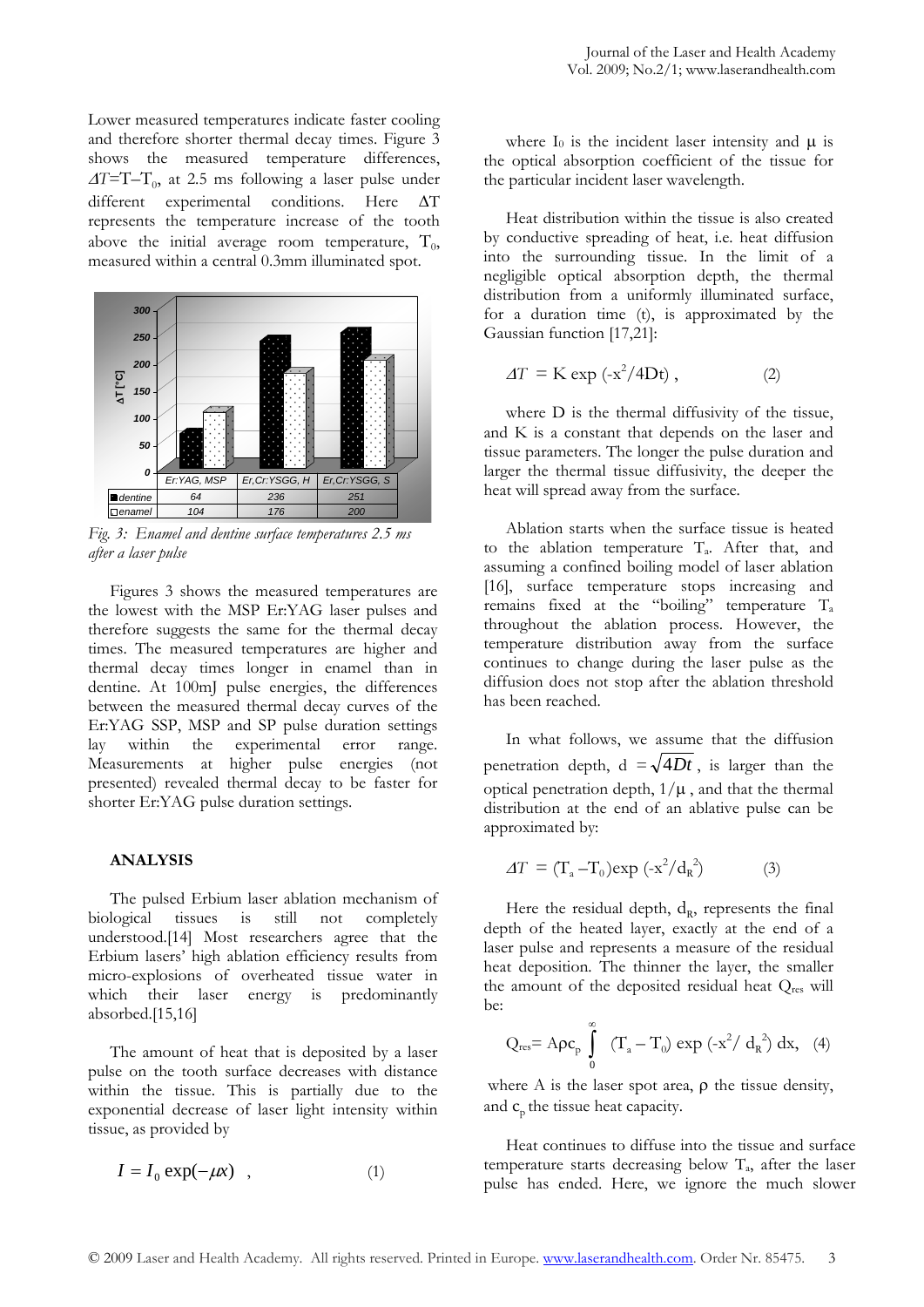Lower measured temperatures indicate faster cooling and therefore shorter thermal decay times. Figure 3 shows the measured temperature differences, <sup>Δ</sup>*T=*T–T0, at 2.5 ms following a laser pulse under different experimental conditions. Here ΔT represents the temperature increase of the tooth above the initial average room temperature,  $T_{0}$ , measured within a central 0.3mm illuminated spot.



*Fig. 3: Enamel and dentine surface temperatures 2.5 ms after a laser pulse* 

Figures 3 shows the measured temperatures are the lowest with the MSP Er:YAG laser pulses and therefore suggests the same for the thermal decay times. The measured temperatures are higher and thermal decay times longer in enamel than in dentine. At 100mJ pulse energies, the differences between the measured thermal decay curves of the Er:YAG SSP, MSP and SP pulse duration settings<br>lay within the experimental error range. lay within the experimental error range. Measurements at higher pulse energies (not presented) revealed thermal decay to be faster for shorter Er:YAG pulse duration settings.

## **ANALYSIS**

The pulsed Erbium laser ablation mechanism of biological tissues is still not completely understood.[14] Most researchers agree that the Erbium lasers' high ablation efficiency results from micro-explosions of overheated tissue water in which their laser energy is predominantly absorbed.[15,16]

The amount of heat that is deposited by a laser pulse on the tooth surface decreases with distance within the tissue. This is partially due to the exponential decrease of laser light intensity within tissue, as provided by

$$
I = I_0 \exp(-\mu x) \quad , \tag{1}
$$

where  $I_0$  is the incident laser intensity and  $\mu$  is the optical absorption coefficient of the tissue for the particular incident laser wavelength.

Heat distribution within the tissue is also created by conductive spreading of heat, i.e. heat diffusion into the surrounding tissue. In the limit of a negligible optical absorption depth, the thermal distribution from a uniformly illuminated surface, for a duration time (t), is approximated by the Gaussian function [17,21]:

$$
\Delta T = \text{K} \exp\left(-x^2/4\text{Dt}\right),\tag{2}
$$

where D is the thermal diffusivity of the tissue, and K is a constant that depends on the laser and tissue parameters. The longer the pulse duration and larger the thermal tissue diffusivity, the deeper the heat will spread away from the surface.

Ablation starts when the surface tissue is heated to the ablation temperature  $T_a$ . After that, and assuming a confined boiling model of laser ablation [16], surface temperature stops increasing and remains fixed at the "boiling" temperature Ta throughout the ablation process. However, the temperature distribution away from the surface continues to change during the laser pulse as the diffusion does not stop after the ablation threshold has been reached.

In what follows, we assume that the diffusion penetration depth,  $d = \sqrt{4Dt}$ , is larger than the optical penetration depth,  $1/\mu$ , and that the thermal distribution at the end of an ablative pulse can be approximated by:

$$
\Delta T = (\Gamma_{\rm a} - \Gamma_0) \exp(-x^2 / d_{\rm R}^2) \tag{3}
$$

Here the residual depth,  $d_{R}$ , represents the final depth of the heated layer, exactly at the end of a laser pulse and represents a measure of the residual heat deposition. The thinner the layer, the smaller the amount of the deposited residual heat Qres will be:

$$
Q_{\mathrm{res}} = A \rho c_p \int\limits_0^\infty \ (T_a - T_0) \ \text{exp}\ (-x^2/\ d_R^2) \ dx, \quad (4)
$$

where A is the laser spot area,  $\rho$  the tissue density, and  $c<sub>o</sub>$  the tissue heat capacity.

Heat continues to diffuse into the tissue and surface temperature starts decreasing below  $T_a$ , after the laser pulse has ended. Here, we ignore the much slower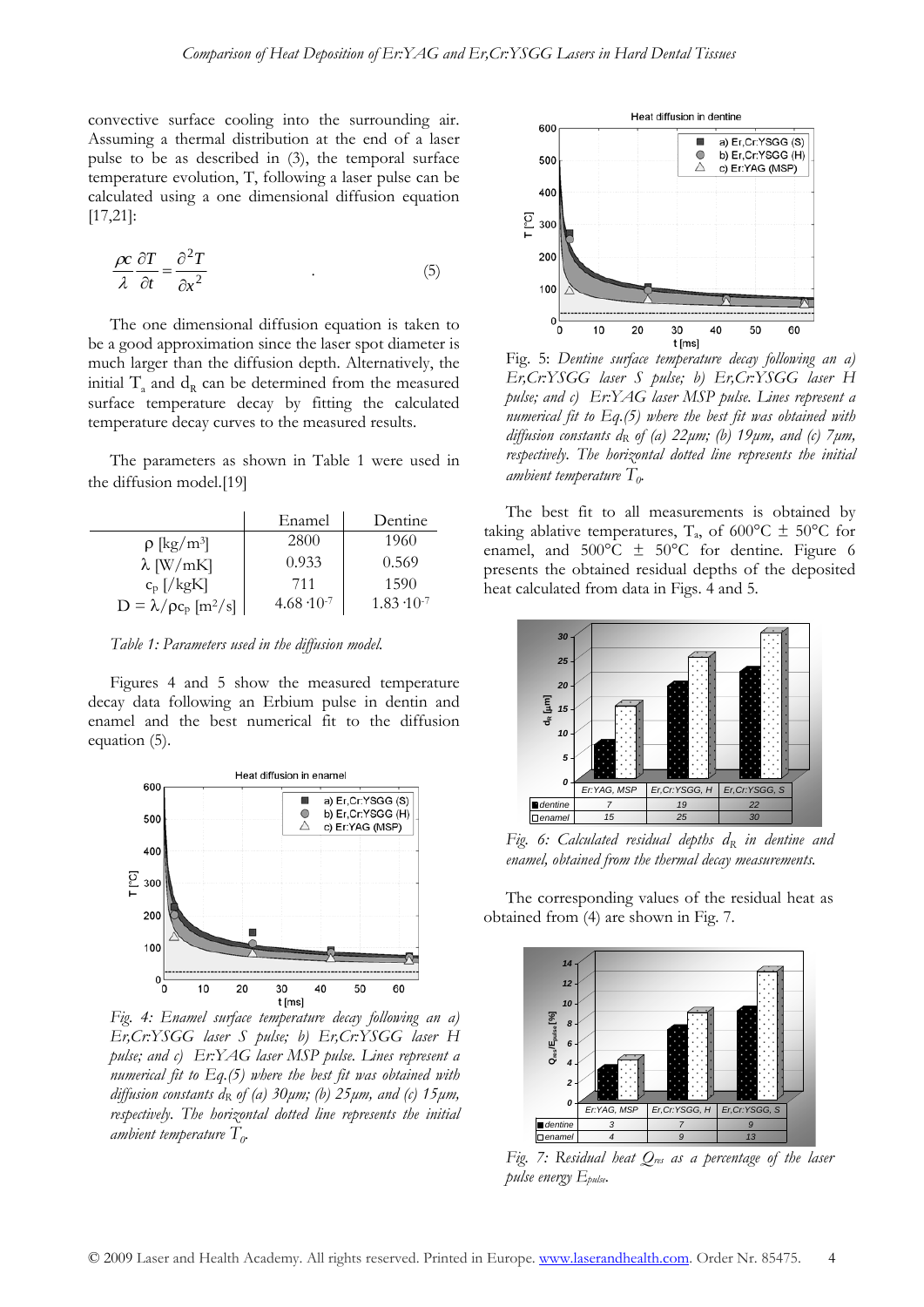convective surface cooling into the surrounding air. Assuming a thermal distribution at the end of a laser pulse to be as described in (3), the temporal surface temperature evolution, T, following a laser pulse can be calculated using a one dimensional diffusion equation [17,21]:

$$
\frac{\rho c}{\lambda} \frac{\partial T}{\partial t} = \frac{\partial^2 T}{\partial x^2} \tag{5}
$$

The one dimensional diffusion equation is taken to be a good approximation since the laser spot diameter is much larger than the diffusion depth. Alternatively, the initial  $T_a$  and  $d_R$  can be determined from the measured surface temperature decay by fitting the calculated temperature decay curves to the measured results.

The parameters as shown in Table 1 were used in the diffusion model.[19]

|                                                 | Enamel               | Dentine              |
|-------------------------------------------------|----------------------|----------------------|
| $\rho$ [kg/m <sup>3</sup> ]                     | 2800                 | 1960                 |
| $\lambda$ [W/mK]                                | 0.933                | 0.569                |
| $c_p \left[ / \text{kgK} \right]$               | 711                  | 1590                 |
| $D = \lambda / \rho c_p \left[ m^2 / s \right]$ | $4.68 \cdot 10^{-7}$ | $1.83 \cdot 10^{-7}$ |

*Table 1: Parameters used in the diffusion model.* 

Figures 4 and 5 show the measured temperature decay data following an Erbium pulse in dentin and enamel and the best numerical fit to the diffusion equation (5).



*Fig. 4: Enamel surface temperature decay following an a) Er,Cr:YSGG laser S pulse; b) Er,Cr:YSGG laser H pulse; and c) Er:YAG laser MSP pulse. Lines represent a numerical fit to Eq.(5) where the best fit was obtained with diffusion constants dR of (a) 30μm; (b) 25μm, and (c) 15μm, respectively. The horizontal dotted line represents the initial ambient temperature*  $T_{\alpha}$ .



Fig. 5: *Dentine surface temperature decay following an a) Er,Cr:YSGG laser S pulse; b) Er,Cr:YSGG laser H pulse; and c) Er:YAG laser MSP pulse. Lines represent a numerical fit to Eq.(5) where the best fit was obtained with diffusion constants dR of (a) 22μm; (b) 19μm, and (c) 7μm, respectively. The horizontal dotted line represents the initial ambient temperature*  $T<sub>0</sub>$ .

The best fit to all measurements is obtained by taking ablative temperatures, T<sub>a</sub>, of 600°C  $\pm$  50°C for enamel, and  $500^{\circ}$ C  $\pm$  50°C for dentine. Figure 6 presents the obtained residual depths of the deposited heat calculated from data in Figs. 4 and 5.



Fig. 6: Calculated residual depths  $d_R$  in dentine and *enamel, obtained from the thermal decay measurements.* 

The corresponding values of the residual heat as obtained from (4) are shown in Fig. 7.



Fig. 7: Residual heat  $Q_{\text{res}}$  as a percentage of the laser *pulse energy Epulse.*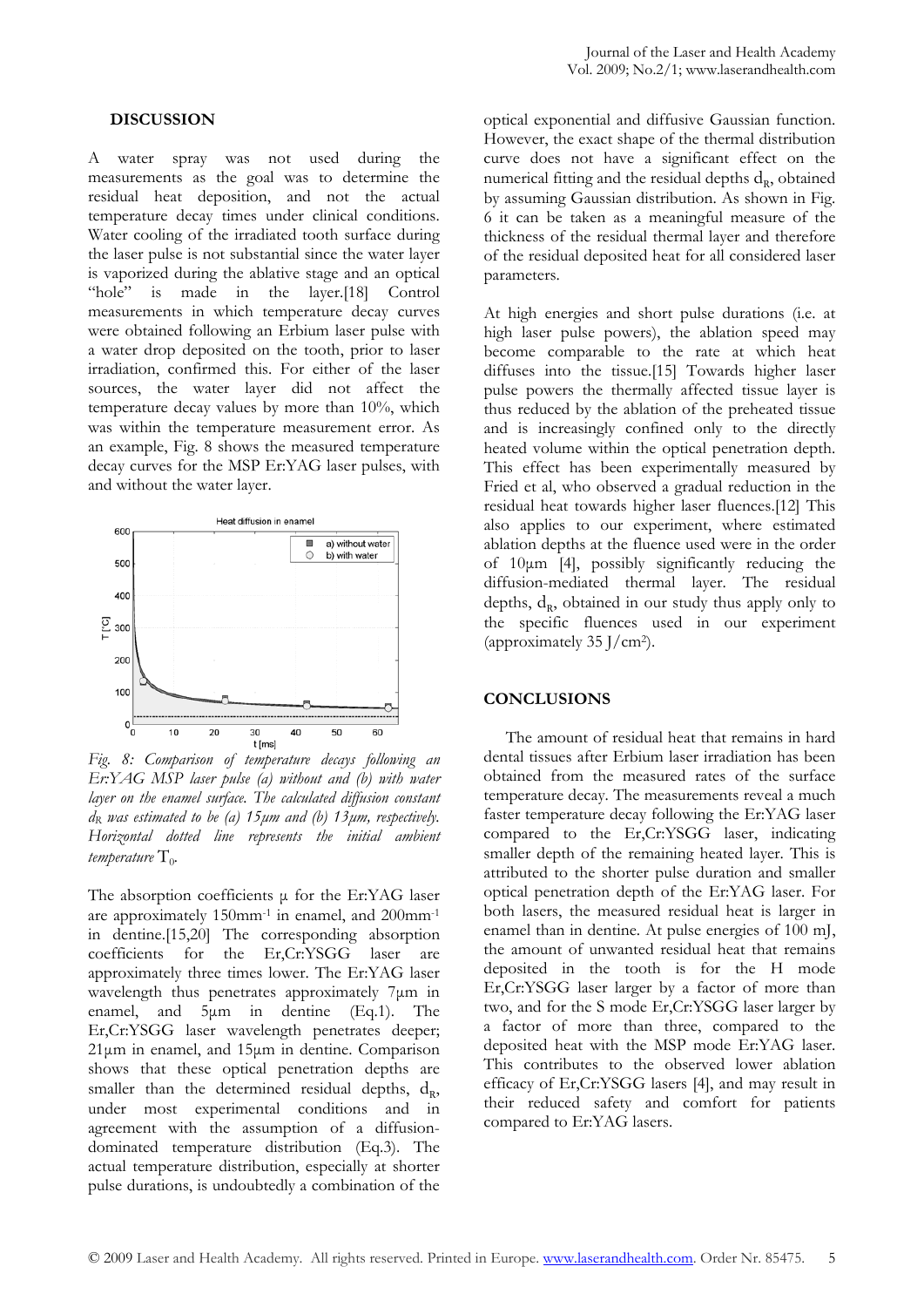## **DISCUSSION**

A water spray was not used during the measurements as the goal was to determine the residual heat deposition, and not the actual temperature decay times under clinical conditions. Water cooling of the irradiated tooth surface during the laser pulse is not substantial since the water layer is vaporized during the ablative stage and an optical "hole" is made in the layer.[18] Control measurements in which temperature decay curves were obtained following an Erbium laser pulse with a water drop deposited on the tooth, prior to laser irradiation, confirmed this. For either of the laser sources, the water layer did not affect the temperature decay values by more than 10%, which was within the temperature measurement error. As an example, Fig. 8 shows the measured temperature decay curves for the MSP Er:YAG laser pulses, with and without the water layer.



*Fig. 8: Comparison of temperature decays following an Er:YAG MSP laser pulse (a) without and (b) with water layer on the enamel surface. The calculated diffusion constant dR was estimated to be (a) 15μm and (b) 13μm, respectively. Horizontal dotted line represents the initial ambient temperature*  $T_0$ .

The absorption coefficients μ for the Er:YAG laser are approximately 150mm-1 in enamel, and 200mm-1 in dentine.[15,20] The corresponding absorption coefficients for the Er,Cr:YSGG laser are approximately three times lower. The Er:YAG laser wavelength thus penetrates approximately 7μm in enamel, and 5μm in dentine (Eq.1). The Er,Cr:YSGG laser wavelength penetrates deeper; 21μm in enamel, and 15μm in dentine. Comparison shows that these optical penetration depths are smaller than the determined residual depths,  $d_R$ , under most experimental conditions and in agreement with the assumption of a diffusiondominated temperature distribution (Eq.3). The actual temperature distribution, especially at shorter pulse durations, is undoubtedly a combination of the

optical exponential and diffusive Gaussian function. However, the exact shape of the thermal distribution curve does not have a significant effect on the numerical fitting and the residual depths  $d<sub>R</sub>$ , obtained by assuming Gaussian distribution. As shown in Fig. 6 it can be taken as a meaningful measure of the thickness of the residual thermal layer and therefore of the residual deposited heat for all considered laser parameters.

At high energies and short pulse durations (i.e. at high laser pulse powers), the ablation speed may become comparable to the rate at which heat diffuses into the tissue.[15] Towards higher laser pulse powers the thermally affected tissue layer is thus reduced by the ablation of the preheated tissue and is increasingly confined only to the directly heated volume within the optical penetration depth. This effect has been experimentally measured by Fried et al, who observed a gradual reduction in the residual heat towards higher laser fluences.[12] This also applies to our experiment, where estimated ablation depths at the fluence used were in the order of 10μm [4], possibly significantly reducing the diffusion-mediated thermal layer. The residual depths,  $d_{R}$ , obtained in our study thus apply only to the specific fluences used in our experiment (approximately 35 J/cm2).

# **CONCLUSIONS**

The amount of residual heat that remains in hard dental tissues after Erbium laser irradiation has been obtained from the measured rates of the surface temperature decay. The measurements reveal a much faster temperature decay following the Er:YAG laser compared to the Er,Cr:YSGG laser, indicating smaller depth of the remaining heated layer. This is attributed to the shorter pulse duration and smaller optical penetration depth of the Er:YAG laser. For both lasers, the measured residual heat is larger in enamel than in dentine. At pulse energies of 100 mJ, the amount of unwanted residual heat that remains deposited in the tooth is for the H mode Er,Cr:YSGG laser larger by a factor of more than two, and for the S mode Er,Cr:YSGG laser larger by a factor of more than three, compared to the deposited heat with the MSP mode Er:YAG laser. This contributes to the observed lower ablation efficacy of Er,Cr:YSGG lasers [4], and may result in their reduced safety and comfort for patients compared to Er:YAG lasers.